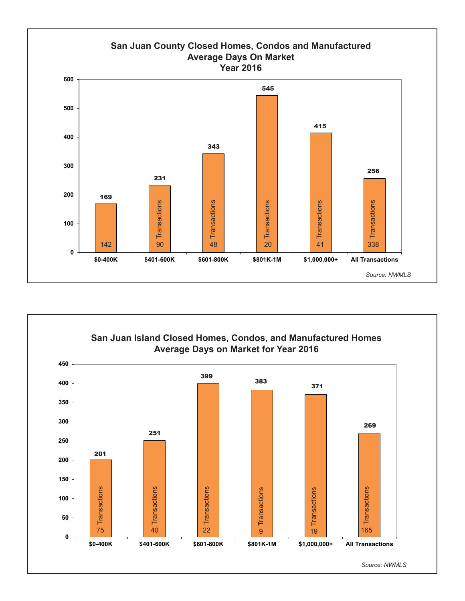



The information above was generated through a search on the NWMLS completed by Coldwell Banker SJI.

*Source: NWMLS*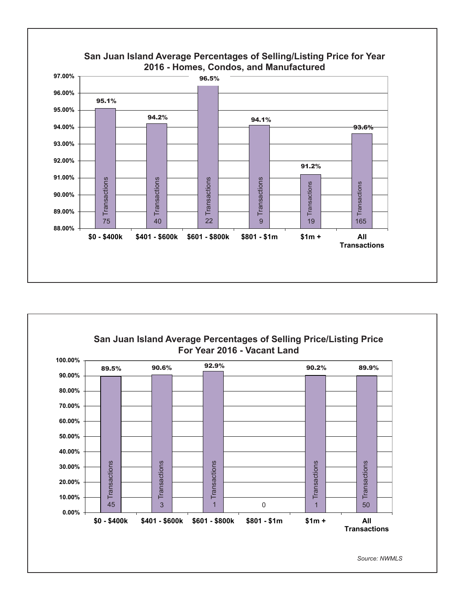

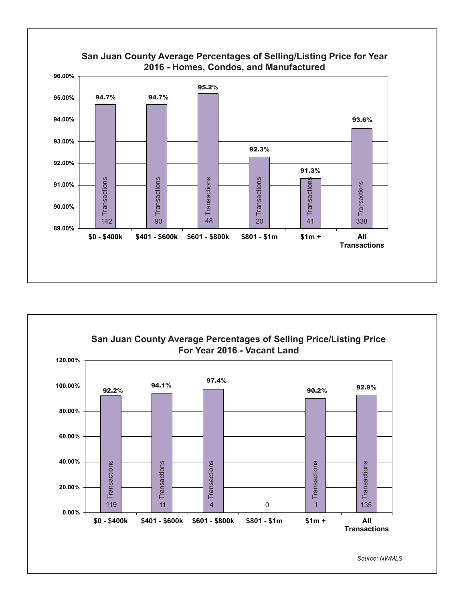

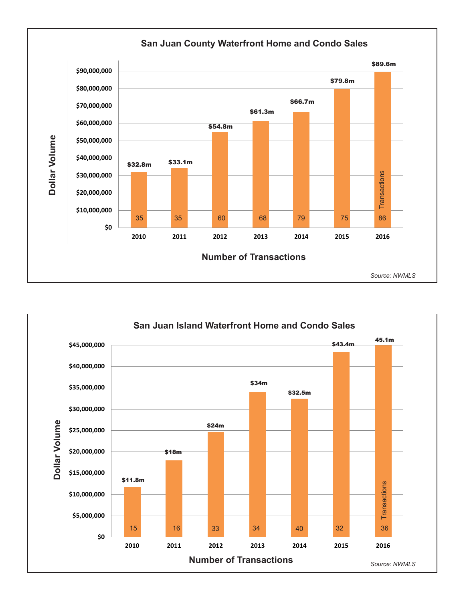

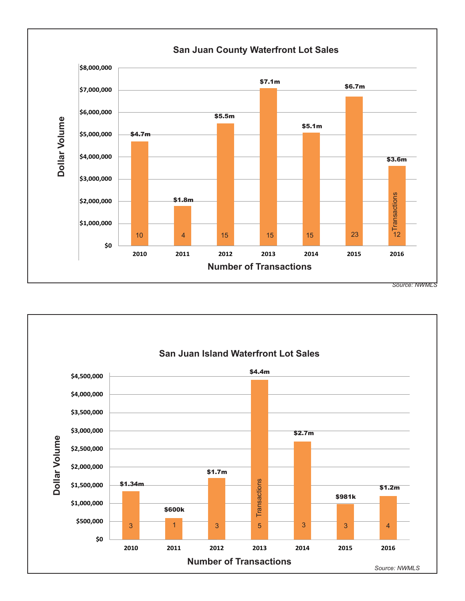

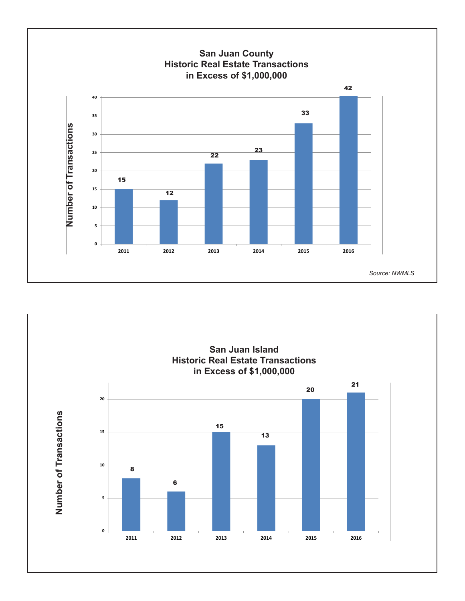

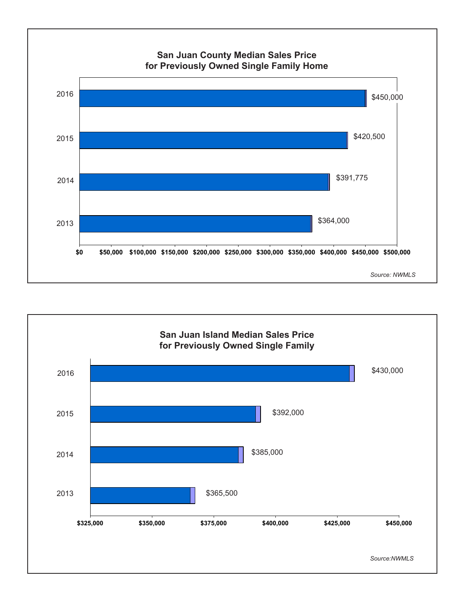

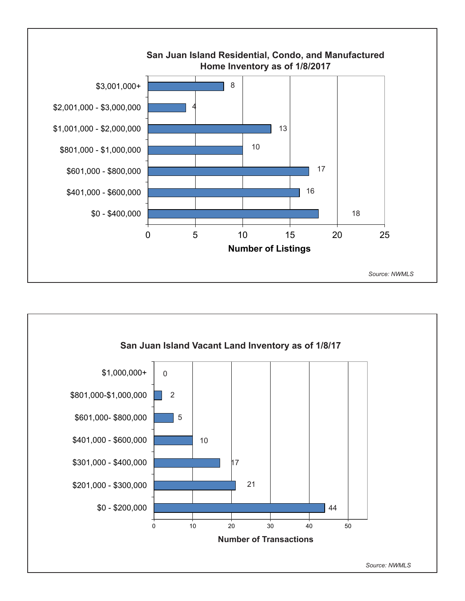

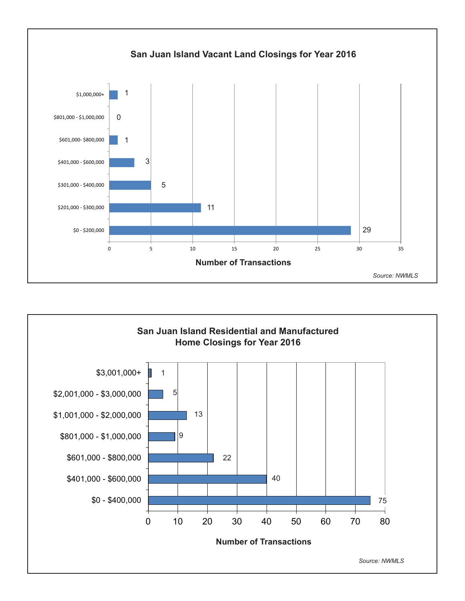